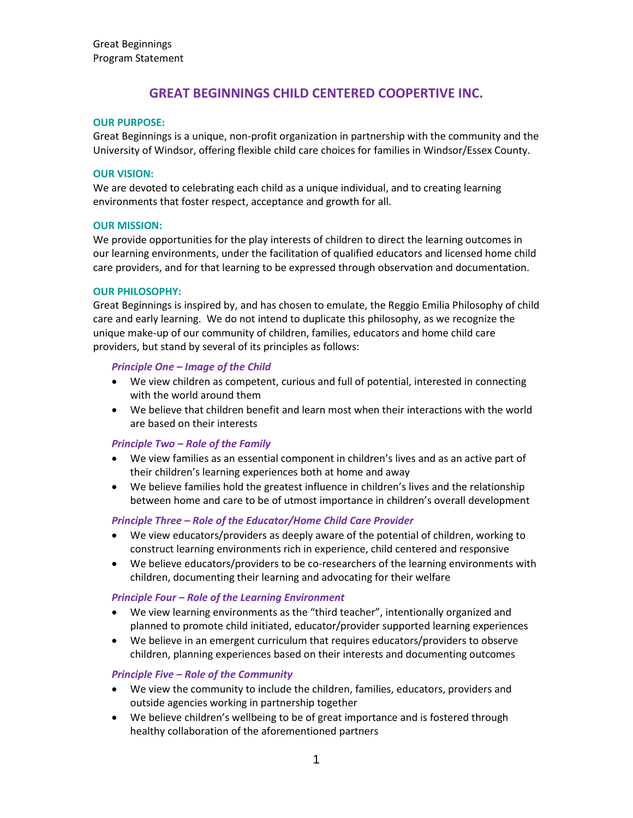# **GREAT BEGINNINGS CHILD CENTERED COOPERTIVE INC.**

### **OUR PURPOSE:**

Great Beginnings is a unique, non-profit organization in partnership with the community and the University of Windsor, offering flexible child care choices for families in Windsor/Essex County.

### **OUR VISION:**

We are devoted to celebrating each child as a unique individual, and to creating learning environments that foster respect, acceptance and growth for all.

### **OUR MISSION:**

We provide opportunities for the play interests of children to direct the learning outcomes in our learning environments, under the facilitation of qualified educators and licensed home child care providers, and for that learning to be expressed through observation and documentation.

### **OUR PHILOSOPHY:**

Great Beginnings is inspired by, and has chosen to emulate, the Reggio Emilia Philosophy of child care and early learning. We do not intend to duplicate this philosophy, as we recognize the unique make-up of our community of children, families, educators and home child care providers, but stand by several of its principles as follows:

# *Principle One – Image of the Child*

- We view children as competent, curious and full of potential, interested in connecting with the world around them
- We believe that children benefit and learn most when their interactions with the world are based on their interests

### *Principle Two – Role of the Family*

- We view families as an essential component in children's lives and as an active part of their children's learning experiences both at home and away
- We believe families hold the greatest influence in children's lives and the relationship between home and care to be of utmost importance in children's overall development

### *Principle Three – Role of the Educator/Home Child Care Provider*

- We view educators/providers as deeply aware of the potential of children, working to construct learning environments rich in experience, child centered and responsive
- We believe educators/providers to be co-researchers of the learning environments with children, documenting their learning and advocating for their welfare

### *Principle Four – Role of the Learning Environment*

- We view learning environments as the "third teacher", intentionally organized and planned to promote child initiated, educator/provider supported learning experiences
- We believe in an emergent curriculum that requires educators/providers to observe children, planning experiences based on their interests and documenting outcomes

### *Principle Five – Role of the Community*

- We view the community to include the children, families, educators, providers and outside agencies working in partnership together
- We believe children's wellbeing to be of great importance and is fostered through healthy collaboration of the aforementioned partners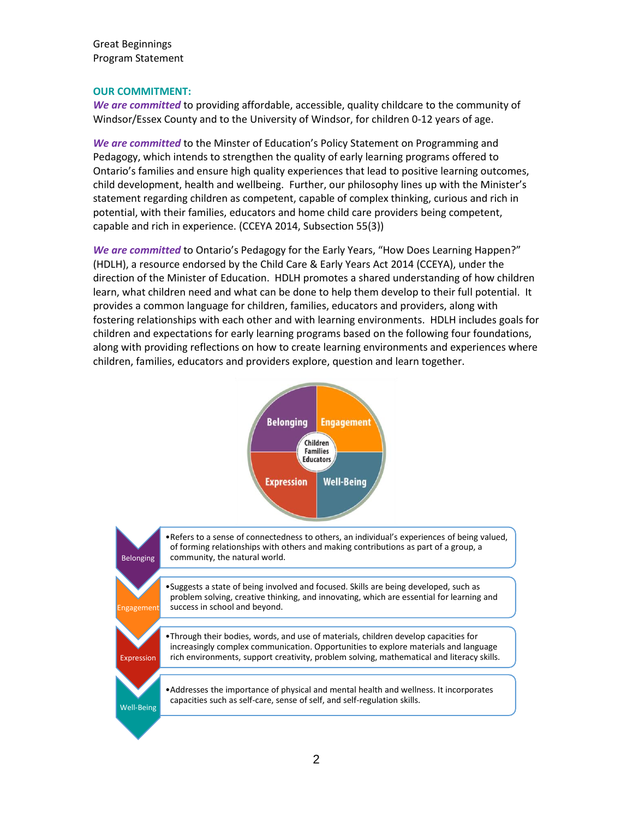Great Beginnings Program Statement

#### **OUR COMMITMENT:**

*We are committed* to providing affordable, accessible, quality childcare to the community of Windsor/Essex County and to the University of Windsor, for children 0-12 years of age.

*We are committed* to the Minster of Education's Policy Statement on Programming and Pedagogy, which intends to strengthen the quality of early learning programs offered to Ontario's families and ensure high quality experiences that lead to positive learning outcomes, child development, health and wellbeing. Further, our philosophy lines up with the Minister's statement regarding children as competent, capable of complex thinking, curious and rich in potential, with their families, educators and home child care providers being competent, capable and rich in experience. (CCEYA 2014, Subsection 55(3))

*We are committed* to Ontario's Pedagogy for the Early Years, "How Does Learning Happen?" (HDLH), a resource endorsed by the Child Care & Early Years Act 2014 (CCEYA), under the direction of the Minister of Education. HDLH promotes a shared understanding of how children learn, what children need and what can be done to help them develop to their full potential. It provides a common language for children, families, educators and providers, along with fostering relationships with each other and with learning environments. HDLH includes goals for children and expectations for early learning programs based on the following four foundations, along with providing reflections on how to create learning environments and experiences where children, families, educators and providers explore, question and learn together.



•Suggests a state of being involved and focused. Skills are being developed, such as problem solving, creative thinking, and innovating, which are essential for learning and success in school and beyond.

Expression

Well-Being

eagement

Belonging

•Through their bodies, words, and use of materials, children develop capacities for increasingly complex communication. Opportunities to explore materials and language rich environments, support creativity, problem solving, mathematical and literacy skills.

•Addresses the importance of physical and mental health and wellness. It incorporates capacities such as self-care, sense of self, and self-regulation skills.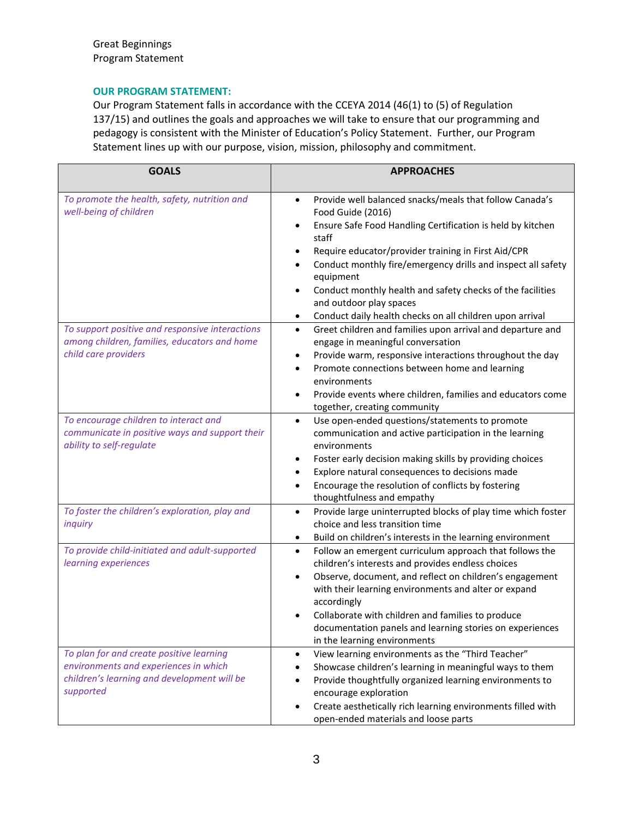# **OUR PROGRAM STATEMENT:**

Our Program Statement falls in accordance with the CCEYA 2014 (46(1) to (5) of Regulation 137/15) and outlines the goals and approaches we will take to ensure that our programming and pedagogy is consistent with the Minister of Education's Policy Statement. Further, our Program Statement lines up with our purpose, vision, mission, philosophy and commitment.

| <b>GOALS</b>                                                                                                                                  | <b>APPROACHES</b>                                                                                                                                                                                                                                                                                                                                                                                                                                                                                                  |
|-----------------------------------------------------------------------------------------------------------------------------------------------|--------------------------------------------------------------------------------------------------------------------------------------------------------------------------------------------------------------------------------------------------------------------------------------------------------------------------------------------------------------------------------------------------------------------------------------------------------------------------------------------------------------------|
| To promote the health, safety, nutrition and<br>well-being of children                                                                        | Provide well balanced snacks/meals that follow Canada's<br>$\bullet$<br>Food Guide (2016)<br>Ensure Safe Food Handling Certification is held by kitchen<br>$\bullet$<br>staff<br>Require educator/provider training in First Aid/CPR<br>$\bullet$<br>Conduct monthly fire/emergency drills and inspect all safety<br>$\bullet$<br>equipment<br>Conduct monthly health and safety checks of the facilities<br>$\bullet$<br>and outdoor play spaces<br>Conduct daily health checks on all children upon arrival<br>٠ |
| To support positive and responsive interactions<br>among children, families, educators and home<br>child care providers                       | Greet children and families upon arrival and departure and<br>$\bullet$<br>engage in meaningful conversation<br>Provide warm, responsive interactions throughout the day<br>٠<br>Promote connections between home and learning<br>$\bullet$<br>environments<br>Provide events where children, families and educators come<br>$\bullet$<br>together, creating community                                                                                                                                             |
| To encourage children to interact and<br>communicate in positive ways and support their<br>ability to self-regulate                           | Use open-ended questions/statements to promote<br>$\bullet$<br>communication and active participation in the learning<br>environments<br>Foster early decision making skills by providing choices<br>Explore natural consequences to decisions made<br>Encourage the resolution of conflicts by fostering<br>$\bullet$<br>thoughtfulness and empathy                                                                                                                                                               |
| To foster the children's exploration, play and<br>inquiry                                                                                     | Provide large uninterrupted blocks of play time which foster<br>$\bullet$<br>choice and less transition time<br>Build on children's interests in the learning environment<br>$\bullet$                                                                                                                                                                                                                                                                                                                             |
| To provide child-initiated and adult-supported<br>learning experiences                                                                        | Follow an emergent curriculum approach that follows the<br>$\bullet$<br>children's interests and provides endless choices<br>Observe, document, and reflect on children's engagement<br>$\bullet$<br>with their learning environments and alter or expand<br>accordingly<br>Collaborate with children and families to produce<br>$\bullet$<br>documentation panels and learning stories on experiences<br>in the learning environments                                                                             |
| To plan for and create positive learning<br>environments and experiences in which<br>children's learning and development will be<br>supported | View learning environments as the "Third Teacher"<br>$\bullet$<br>Showcase children's learning in meaningful ways to them<br>Provide thoughtfully organized learning environments to<br>encourage exploration<br>Create aesthetically rich learning environments filled with<br>$\bullet$<br>open-ended materials and loose parts                                                                                                                                                                                  |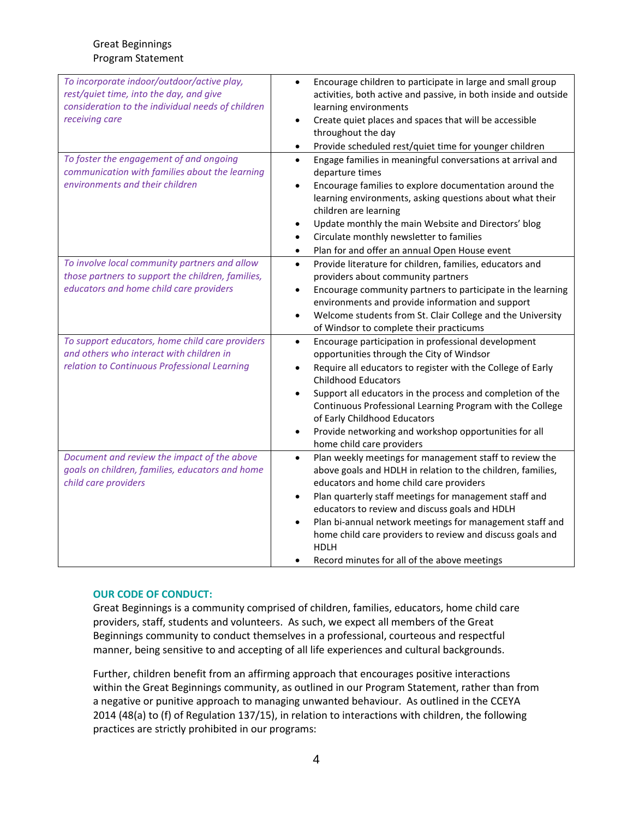| To incorporate indoor/outdoor/active play,<br>rest/quiet time, into the day, and give<br>consideration to the individual needs of children<br>receiving care | Encourage children to participate in large and small group<br>$\bullet$<br>activities, both active and passive, in both inside and outside<br>learning environments<br>Create quiet places and spaces that will be accessible<br>$\bullet$<br>throughout the day<br>Provide scheduled rest/quiet time for younger children<br>$\bullet$                                                                                                                                                            |
|--------------------------------------------------------------------------------------------------------------------------------------------------------------|----------------------------------------------------------------------------------------------------------------------------------------------------------------------------------------------------------------------------------------------------------------------------------------------------------------------------------------------------------------------------------------------------------------------------------------------------------------------------------------------------|
| To foster the engagement of and ongoing<br>communication with families about the learning<br>environments and their children                                 | Engage families in meaningful conversations at arrival and<br>$\bullet$<br>departure times<br>Encourage families to explore documentation around the<br>$\bullet$<br>learning environments, asking questions about what their<br>children are learning<br>Update monthly the main Website and Directors' blog<br>٠<br>Circulate monthly newsletter to families<br>Plan for and offer an annual Open House event<br>$\bullet$                                                                       |
| To involve local community partners and allow<br>those partners to support the children, families,<br>educators and home child care providers                | Provide literature for children, families, educators and<br>$\bullet$<br>providers about community partners<br>Encourage community partners to participate in the learning<br>$\bullet$<br>environments and provide information and support<br>Welcome students from St. Clair College and the University<br>$\bullet$<br>of Windsor to complete their practicums                                                                                                                                  |
| To support educators, home child care providers<br>and others who interact with children in<br>relation to Continuous Professional Learning                  | Encourage participation in professional development<br>$\bullet$<br>opportunities through the City of Windsor<br>Require all educators to register with the College of Early<br>$\bullet$<br><b>Childhood Educators</b><br>Support all educators in the process and completion of the<br>$\bullet$<br>Continuous Professional Learning Program with the College<br>of Early Childhood Educators<br>Provide networking and workshop opportunities for all<br>$\bullet$<br>home child care providers |
| Document and review the impact of the above<br>goals on children, families, educators and home<br>child care providers                                       | Plan weekly meetings for management staff to review the<br>$\bullet$<br>above goals and HDLH in relation to the children, families,<br>educators and home child care providers<br>Plan quarterly staff meetings for management staff and<br>$\bullet$<br>educators to review and discuss goals and HDLH<br>Plan bi-annual network meetings for management staff and<br>home child care providers to review and discuss goals and<br><b>HDLH</b><br>Record minutes for all of the above meetings    |

# **OUR CODE OF CONDUCT:**

Great Beginnings is a community comprised of children, families, educators, home child care providers, staff, students and volunteers. As such, we expect all members of the Great Beginnings community to conduct themselves in a professional, courteous and respectful manner, being sensitive to and accepting of all life experiences and cultural backgrounds.

Further, children benefit from an affirming approach that encourages positive interactions within the Great Beginnings community, as outlined in our Program Statement, rather than from a negative or punitive approach to managing unwanted behaviour. As outlined in the CCEYA 2014 (48(a) to (f) of Regulation 137/15), in relation to interactions with children, the following practices are strictly prohibited in our programs: